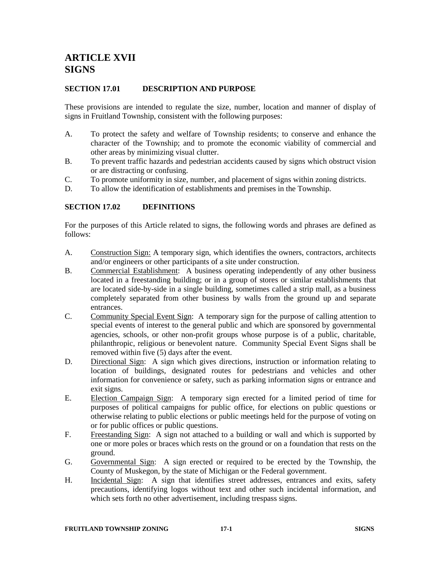# **ARTICLE XVII SIGNS**

#### **SECTION 17.01 DESCRIPTION AND PURPOSE**

These provisions are intended to regulate the size, number, location and manner of display of signs in Fruitland Township, consistent with the following purposes:

- A. To protect the safety and welfare of Township residents; to conserve and enhance the character of the Township; and to promote the economic viability of commercial and other areas by minimizing visual clutter.
- B. To prevent traffic hazards and pedestrian accidents caused by signs which obstruct vision or are distracting or confusing.
- C. To promote uniformity in size, number, and placement of signs within zoning districts.
- D. To allow the identification of establishments and premises in the Township.

#### **SECTION 17.02 DEFINITIONS**

For the purposes of this Article related to signs, the following words and phrases are defined as follows:

- A. Construction Sign: A temporary sign, which identifies the owners, contractors, architects and/or engineers or other participants of a site under construction.
- B. Commercial Establishment: A business operating independently of any other business located in a freestanding building; or in a group of stores or similar establishments that are located side-by-side in a single building, sometimes called a strip mall, as a business completely separated from other business by walls from the ground up and separate entrances.
- C. Community Special Event Sign: A temporary sign for the purpose of calling attention to special events of interest to the general public and which are sponsored by governmental agencies, schools, or other non-profit groups whose purpose is of a public, charitable, philanthropic, religious or benevolent nature. Community Special Event Signs shall be removed within five (5) days after the event.
- D. Directional Sign: A sign which gives directions, instruction or information relating to location of buildings, designated routes for pedestrians and vehicles and other information for convenience or safety, such as parking information signs or entrance and exit signs.
- E. Election Campaign Sign: A temporary sign erected for a limited period of time for purposes of political campaigns for public office, for elections on public questions or otherwise relating to public elections or public meetings held for the purpose of voting on or for public offices or public questions.
- F. Freestanding Sign: A sign not attached to a building or wall and which is supported by one or more poles or braces which rests on the ground or on a foundation that rests on the ground.
- G. Governmental Sign: A sign erected or required to be erected by the Township, the County of Muskegon, by the state of Michigan or the Federal government.
- H. Incidental Sign: A sign that identifies street addresses, entrances and exits, safety precautions, identifying logos without text and other such incidental information, and which sets forth no other advertisement, including trespass signs.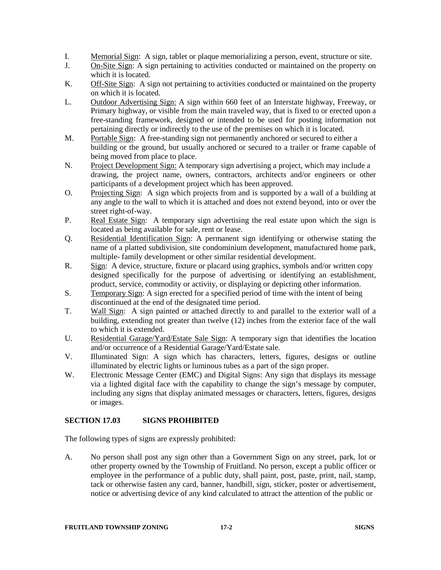- I. Memorial Sign: A sign, tablet or plaque memorializing a person, event, structure or site.
- J. On-Site Sign: A sign pertaining to activities conducted or maintained on the property on which it is located.
- K. Off-Site Sign: A sign not pertaining to activities conducted or maintained on the property on which it is located.
- L. Outdoor Advertising Sign: A sign within 660 feet of an Interstate highway, Freeway, or Primary highway, or visible from the main traveled way, that is fixed to or erected upon a free-standing framework, designed or intended to be used for posting information not pertaining directly or indirectly to the use of the premises on which it is located.
- M. Portable Sign: A free-standing sign not permanently anchored or secured to either a building or the ground, but usually anchored or secured to a trailer or frame capable of being moved from place to place.
- N. Project Development Sign: A temporary sign advertising a project, which may include a drawing, the project name, owners, contractors, architects and/or engineers or other participants of a development project which has been approved.
- O. Projecting Sign: A sign which projects from and is supported by a wall of a building at any angle to the wall to which it is attached and does not extend beyond, into or over the street right-of-way.
- P. Real Estate Sign: A temporary sign advertising the real estate upon which the sign is located as being available for sale, rent or lease.
- Q. Residential Identification Sign: A permanent sign identifying or otherwise stating the name of a platted subdivision, site condominium development, manufactured home park, multiple- family development or other similar residential development.
- R.Sign: A device, structure, fixture or placard using graphics, symbols and/or written copy designed specifically for the purpose of advertising or identifying an establishment, product, service, commodity or activity, or displaying or depicting other information.
- S. Temporary Sign: A sign erected for a specified period of time with the intent of being discontinued at the end of the designated time period.
- T. Wall Sign: A sign painted or attached directly to and parallel to the exterior wall of a building, extending not greater than twelve (12) inches from the exterior face of the wall to which it is extended.
- U. Residential Garage/Yard/Estate Sale Sign: A temporary sign that identifies the location and/or occurrence of a Residential Garage/Yard/Estate sale.
- V. Illuminated Sign: A sign which has characters, letters, figures, designs or outline illuminated by electric lights or luminous tubes as a part of the sign proper.
- W. Electronic Message Center (EMC) and Digital Signs: Any sign that displays its message via a lighted digital face with the capability to change the sign's message by computer, including any signs that display animated messages or characters, letters, figures, designs or images.

# **SECTION 17.03 SIGNS PROHIBITED**

The following types of signs are expressly prohibited:

A. No person shall post any sign other than a Government Sign on any street, park, lot or other property owned by the Township of Fruitland. No person, except a public officer or employee in the performance of a public duty, shall paint, post, paste, print, nail, stamp, tack or otherwise fasten any card, banner, handbill, sign, sticker, poster or advertisement, notice or advertising device of any kind calculated to attract the attention of the public or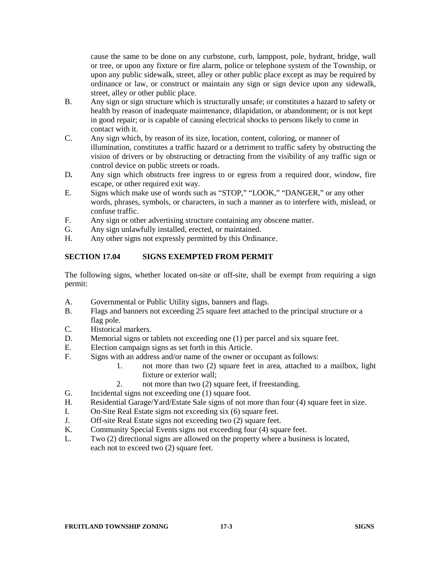cause the same to be done on any curbstone, curb, lamppost, pole, hydrant, bridge, wall or tree, or upon any fixture or fire alarm, police or telephone system of the Township, or upon any public sidewalk, street, alley or other public place except as may be required by ordinance or law, or construct or maintain any sign or sign device upon any sidewalk, street, alley or other public place.

- B. Any sign or sign structure which is structurally unsafe; or constitutes a hazard to safety or health by reason of inadequate maintenance, dilapidation, or abandonment; or is not kept in good repair; or is capable of causing electrical shocks to persons likely to come in contact with it.
- C. Any sign which, by reason of its size, location, content, coloring, or manner of illumination, constitutes a traffic hazard or a detriment to traffic safety by obstructing the vision of drivers or by obstructing or detracting from the visibility of any traffic sign or control device on public streets or roads.
- D*.* Any sign which obstructs free ingress to or egress from a required door, window, fire escape, or other required exit way.
- E. Signs which make use of words such as "STOP," "LOOK," "DANGER," or any other words, phrases, symbols, or characters, in such a manner as to interfere with, mislead, or confuse traffic.
- F. Any sign or other advertising structure containing any obscene matter.
- G. Any sign unlawfully installed, erected, or maintained.<br>H Any other signs not expressly permitted by this Ordina
- Any other signs not expressly permitted by this Ordinance.

# **SECTION 17.04 SIGNS EXEMPTED FROM PERMIT**

The following signs, whether located on-site or off-site, shall be exempt from requiring a sign permit:

- A. Governmental or Public Utility signs, banners and flags.
- B. Flags and banners not exceeding 25 square feet attached to the principal structure or a flag pole.
- C. Historical markers.
- D. Memorial signs or tablets not exceeding one (1) per parcel and six square feet.
- E. Election campaign signs as set forth in this Article.<br>F. Signs with an address and/or name of the owner or
- Signs with an address and/or name of the owner or occupant as follows:
	- 1. not more than two (2) square feet in area, attached to a mailbox, light fixture or exterior wall;
	- 2. not more than two (2) square feet, if freestanding.
- G. Incidental signs not exceeding one (1) square foot.
- H. Residential Garage/Yard/Estate Sale signs of not more than four (4) square feet in size.
- I. On-Site Real Estate signs not exceeding six (6) square feet.
- J. Off-site Real Estate signs not exceeding two (2) square feet.
- K. Community Special Events signs not exceeding four (4) square feet.
- L. Two (2) directional signs are allowed on the property where a business is located, each not to exceed two (2) square feet.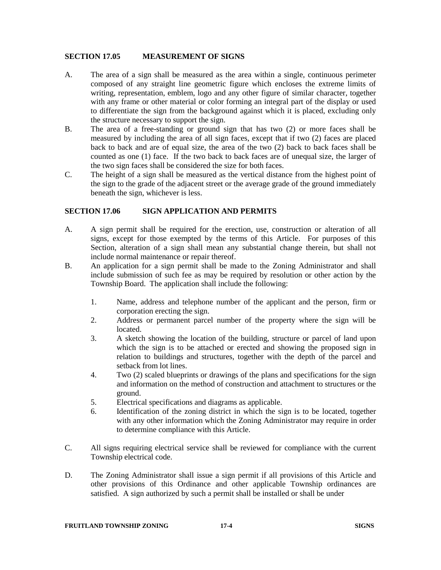#### **SECTION 17.05 MEASUREMENT OF SIGNS**

- A. The area of a sign shall be measured as the area within a single, continuous perimeter composed of any straight line geometric figure which encloses the extreme limits of writing, representation, emblem, logo and any other figure of similar character, together with any frame or other material or color forming an integral part of the display or used to differentiate the sign from the background against which it is placed, excluding only the structure necessary to support the sign.
- B. The area of a free-standing or ground sign that has two (2) or more faces shall be measured by including the area of all sign faces, except that if two (2) faces are placed back to back and are of equal size, the area of the two (2) back to back faces shall be counted as one (1) face. If the two back to back faces are of unequal size, the larger of the two sign faces shall be considered the size for both faces.
- C. The height of a sign shall be measured as the vertical distance from the highest point of the sign to the grade of the adjacent street or the average grade of the ground immediately beneath the sign, whichever is less.

#### **SECTION 17.06 SIGN APPLICATION AND PERMITS**

- A. A sign permit shall be required for the erection, use, construction or alteration of all signs, except for those exempted by the terms of this Article. For purposes of this Section, alteration of a sign shall mean any substantial change therein, but shall not include normal maintenance or repair thereof.
- B. An application for a sign permit shall be made to the Zoning Administrator and shall include submission of such fee as may be required by resolution or other action by the Township Board. The application shall include the following:
	- 1. Name, address and telephone number of the applicant and the person, firm or corporation erecting the sign.
	- 2. Address or permanent parcel number of the property where the sign will be located.
	- 3. A sketch showing the location of the building, structure or parcel of land upon which the sign is to be attached or erected and showing the proposed sign in relation to buildings and structures, together with the depth of the parcel and setback from lot lines.
	- 4. Two (2) scaled blueprints or drawings of the plans and specifications for the sign and information on the method of construction and attachment to structures or the ground.
	- 5. Electrical specifications and diagrams as applicable.
	- 6. Identification of the zoning district in which the sign is to be located, together with any other information which the Zoning Administrator may require in order to determine compliance with this Article.
- C. All signs requiring electrical service shall be reviewed for compliance with the current Township electrical code.
- D. The Zoning Administrator shall issue a sign permit if all provisions of this Article and other provisions of this Ordinance and other applicable Township ordinances are satisfied. A sign authorized by such a permit shall be installed or shall be under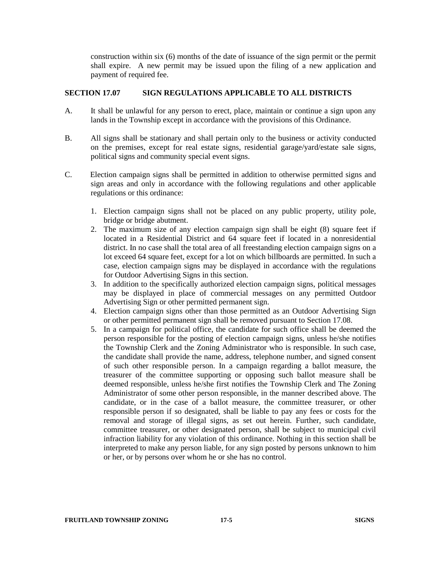construction within six (6) months of the date of issuance of the sign permit or the permit shall expire. A new permit may be issued upon the filing of a new application and payment of required fee.

# **SECTION 17.07 SIGN REGULATIONS APPLICABLE TO ALL DISTRICTS**

- A. It shall be unlawful for any person to erect, place, maintain or continue a sign upon any lands in the Township except in accordance with the provisions of this Ordinance.
- B. All signs shall be stationary and shall pertain only to the business or activity conducted on the premises, except for real estate signs, residential garage/yard/estate sale signs, political signs and community special event signs.
- C. Election campaign signs shall be permitted in addition to otherwise permitted signs and sign areas and only in accordance with the following regulations and other applicable regulations or this ordinance:
	- 1. Election campaign signs shall not be placed on any public property, utility pole, bridge or bridge abutment.
	- 2. The maximum size of any election campaign sign shall be eight (8) square feet if located in a Residential District and 64 square feet if located in a nonresidential district. In no case shall the total area of all freestanding election campaign signs on a lot exceed 64 square feet, except for a lot on which billboards are permitted. In such a case, election campaign signs may be displayed in accordance with the regulations for Outdoor Advertising Signs in this section.
	- 3. In addition to the specifically authorized election campaign signs, political messages may be displayed in place of commercial messages on any permitted Outdoor Advertising Sign or other permitted permanent sign.
	- 4. Election campaign signs other than those permitted as an Outdoor Advertising Sign or other permitted permanent sign shall be removed pursuant to Section 17.08.
	- 5. In a campaign for political office, the candidate for such office shall be deemed the person responsible for the posting of election campaign signs, unless he/she notifies the Township Clerk and the Zoning Administrator who is responsible. In such case, the candidate shall provide the name, address, telephone number, and signed consent of such other responsible person. In a campaign regarding a ballot measure, the treasurer of the committee supporting or opposing such ballot measure shall be deemed responsible, unless he/she first notifies the Township Clerk and The Zoning Administrator of some other person responsible, in the manner described above. The candidate, or in the case of a ballot measure, the committee treasurer, or other responsible person if so designated, shall be liable to pay any fees or costs for the removal and storage of illegal signs, as set out herein. Further, such candidate, committee treasurer, or other designated person, shall be subject to municipal civil infraction liability for any violation of this ordinance. Nothing in this section shall be interpreted to make any person liable, for any sign posted by persons unknown to him or her, or by persons over whom he or she has no control.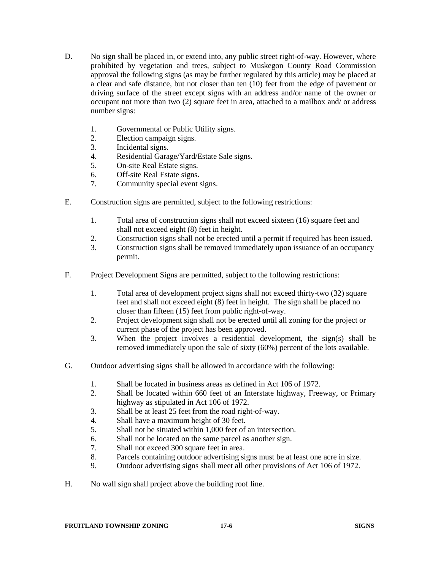- D. No sign shall be placed in, or extend into, any public street right-of-way. However, where prohibited by vegetation and trees, subject to Muskegon County Road Commission approval the following signs (as may be further regulated by this article) may be placed at a clear and safe distance, but not closer than ten (10) feet from the edge of pavement or driving surface of the street except signs with an address and/or name of the owner or occupant not more than two (2) square feet in area, attached to a mailbox and/ or address number signs:
	- 1. Governmental or Public Utility signs.
	- 2. Election campaign signs.
	- 3. Incidental signs.
	- 4. Residential Garage/Yard/Estate Sale signs.
	- 5. On-site Real Estate signs.<br>6. Off-site Real Estate signs.
	- 6.Off-site Real Estate signs.
	- 7. Community special event signs.
- E. Construction signs are permitted, subject to the following restrictions:
	- 1. Total area of construction signs shall not exceed sixteen (16) square feet and shall not exceed eight (8) feet in height.
	- 2. Construction signs shall not be erected until a permit if required has been issued.
	- 3. Construction signs shall be removed immediately upon issuance of an occupancy permit.
- F. Project Development Signs are permitted, subject to the following restrictions:
	- 1. Total area of development project signs shall not exceed thirty-two (32) square feet and shall not exceed eight (8) feet in height. The sign shall be placed no closer than fifteen (15) feet from public right-of-way.
	- 2. Project development sign shall not be erected until all zoning for the project or current phase of the project has been approved.
	- 3. When the project involves a residential development, the sign(s) shall be removed immediately upon the sale of sixty (60%) percent of the lots available.
- G. Outdoor advertising signs shall be allowed in accordance with the following:
	- 1. Shall be located in business areas as defined in Act 106 of 1972.
	- 2. Shall be located within 660 feet of an Interstate highway, Freeway, or Primary highway as stipulated in Act 106 of 1972.
	- 3. Shall be at least 25 feet from the road right-of-way.
	- 4. Shall have a maximum height of 30 feet.
	- 5. Shall not be situated within 1,000 feet of an intersection.
	- 6. Shall not be located on the same parcel as another sign.
	- 7. Shall not exceed 300 square feet in area.
	- 8. Parcels containing outdoor advertising signs must be at least one acre in size.
	- 9. Outdoor advertising signs shall meet all other provisions of Act 106 of 1972.
- H. No wall sign shall project above the building roof line.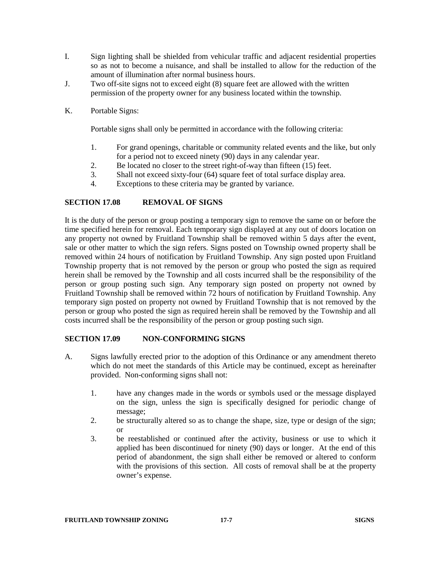- I. Sign lighting shall be shielded from vehicular traffic and adjacent residential properties so as not to become a nuisance, and shall be installed to allow for the reduction of the amount of illumination after normal business hours.
- J. Two off-site signs not to exceed eight (8) square feet are allowed with the written permission of the property owner for any business located within the township.
- K. Portable Signs:

Portable signs shall only be permitted in accordance with the following criteria:

- 1. For grand openings, charitable or community related events and the like, but only for a period not to exceed ninety (90) days in any calendar year.
- 2. Be located no closer to the street right-of-way than fifteen (15) feet.<br>3. Shall not exceed sixty-four (64) square feet of total surface display a
- Shall not exceed sixty-four (64) square feet of total surface display area.
- 4. Exceptions to these criteria may be granted by variance.

# **SECTION 17.08 REMOVAL OF SIGNS**

It is the duty of the person or group posting a temporary sign to remove the same on or before the time specified herein for removal. Each temporary sign displayed at any out of doors location on any property not owned by Fruitland Township shall be removed within 5 days after the event, sale or other matter to which the sign refers. Signs posted on Township owned property shall be removed within 24 hours of notification by Fruitland Township. Any sign posted upon Fruitland Township property that is not removed by the person or group who posted the sign as required herein shall be removed by the Township and all costs incurred shall be the responsibility of the person or group posting such sign. Any temporary sign posted on property not owned by Fruitland Township shall be removed within 72 hours of notification by Fruitland Township. Any temporary sign posted on property not owned by Fruitland Township that is not removed by the person or group who posted the sign as required herein shall be removed by the Township and all costs incurred shall be the responsibility of the person or group posting such sign.

#### **SECTION 17.09 NON-CONFORMING SIGNS**

- A. Signs lawfully erected prior to the adoption of this Ordinance or any amendment thereto which do not meet the standards of this Article may be continued, except as hereinafter provided. Non-conforming signs shall not:
	- 1. have any changes made in the words or symbols used or the message displayed on the sign, unless the sign is specifically designed for periodic change of message;
	- 2. be structurally altered so as to change the shape, size, type or design of the sign; or
	- 3. be reestablished or continued after the activity, business or use to which it applied has been discontinued for ninety (90) days or longer. At the end of this period of abandonment, the sign shall either be removed or altered to conform with the provisions of this section. All costs of removal shall be at the property owner's expense.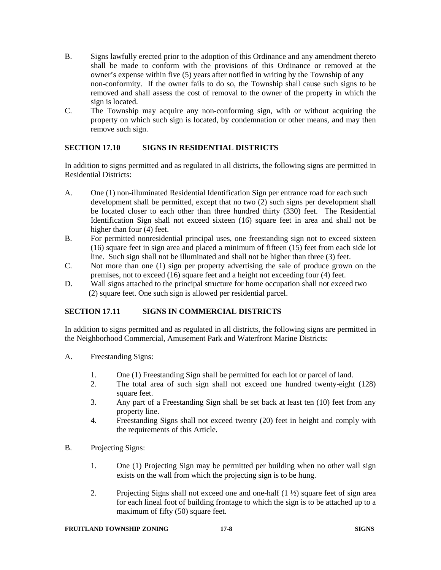- B. Signs lawfully erected prior to the adoption of this Ordinance and any amendment thereto shall be made to conform with the provisions of this Ordinance or removed at the owner's expense within five (5) years after notified in writing by the Township of any non-conformity. If the owner fails to do so, the Township shall cause such signs to be removed and shall assess the cost of removal to the owner of the property in which the sign is located.
- C. The Township may acquire any non-conforming sign, with or without acquiring the property on which such sign is located, by condemnation or other means, and may then remove such sign.

# **SECTION 17.10 SIGNS IN RESIDENTIAL DISTRICTS**

In addition to signs permitted and as regulated in all districts, the following signs are permitted in Residential Districts:

- A. One (1) non-illuminated Residential Identification Sign per entrance road for each such development shall be permitted, except that no two (2) such signs per development shall be located closer to each other than three hundred thirty (330) feet. The Residential Identification Sign shall not exceed sixteen (16) square feet in area and shall not be higher than four (4) feet.
- B. For permitted nonresidential principal uses, one freestanding sign not to exceed sixteen (16) square feet in sign area and placed a minimum of fifteen (15) feet from each side lot line. Such sign shall not be illuminated and shall not be higher than three (3) feet.
- C. Not more than one (1) sign per property advertising the sale of produce grown on the premises, not to exceed (16) square feet and a height not exceeding four (4) feet.
- D. Wall signs attached to the principal structure for home occupation shall not exceed two (2) square feet. One such sign is allowed per residential parcel.

#### **SECTION 17.11 SIGNS IN COMMERCIAL DISTRICTS**

In addition to signs permitted and as regulated in all districts, the following signs are permitted in the Neighborhood Commercial, Amusement Park and Waterfront Marine Districts:

- A. Freestanding Signs:
	- 1. One (1) Freestanding Sign shall be permitted for each lot or parcel of land.
	- 2. The total area of such sign shall not exceed one hundred twenty-eight (128) square feet.
	- 3. Any part of a Freestanding Sign shall be set back at least ten (10) feet from any property line.
	- 4. Freestanding Signs shall not exceed twenty (20) feet in height and comply with the requirements of this Article.
- B. Projecting Signs:
	- 1. One (1) Projecting Sign may be permitted per building when no other wall sign exists on the wall from which the projecting sign is to be hung.
	- 2. Projecting Signs shall not exceed one and one-half  $(1 \frac{1}{2})$  square feet of sign area for each lineal foot of building frontage to which the sign is to be attached up to a maximum of fifty (50) square feet.